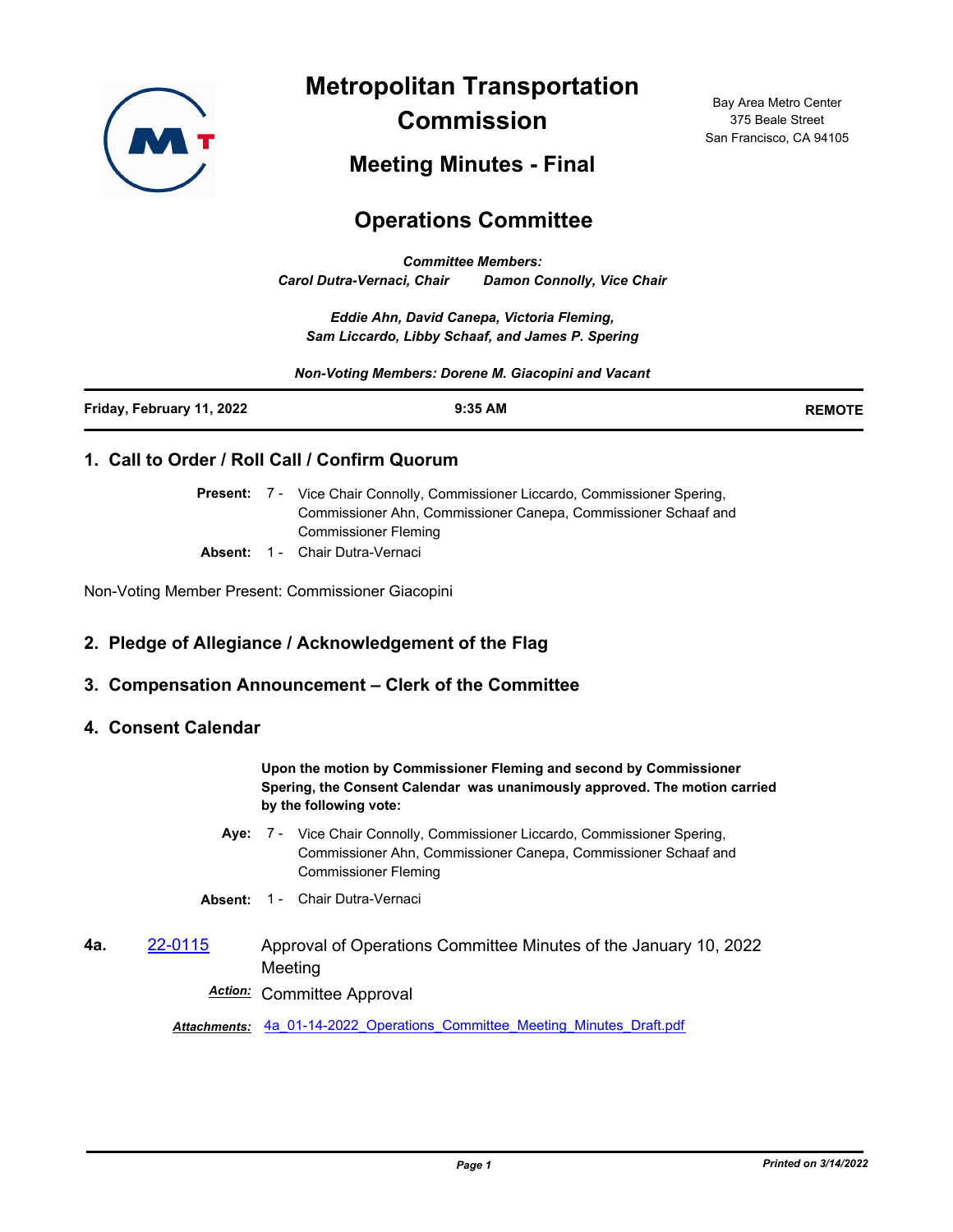

**Metropolitan Transportation Commission**

Bay Area Metro Center 375 Beale Street San Francisco, CA 94105

# **Meeting Minutes - Final**

# **Operations Committee**

*Committee Members: Carol Dutra-Vernaci, Chair Damon Connolly, Vice Chair*

*Eddie Ahn, David Canepa, Victoria Fleming, Sam Liccardo, Libby Schaaf, and James P. Spering*

*Non-Voting Members: Dorene M. Giacopini and Vacant*

| Friday, February 11, 2022 | 9:35 AM | <b>REMOTE</b> |
|---------------------------|---------|---------------|
|                           |         |               |

## **1. Call to Order / Roll Call / Confirm Quorum**

Present: 7 - Vice Chair Connolly, Commissioner Liccardo, Commissioner Spering, Commissioner Ahn, Commissioner Canepa, Commissioner Schaaf and Commissioner Fleming

**Absent:** 1 - Chair Dutra-Vernaci

Non-Voting Member Present: Commissioner Giacopini

## **2. Pledge of Allegiance / Acknowledgement of the Flag**

#### **3. Compensation Announcement – Clerk of the Committee**

#### **4. Consent Calendar**

**Upon the motion by Commissioner Fleming and second by Commissioner Spering, the Consent Calendar was unanimously approved. The motion carried by the following vote:**

- Aye: 7 Vice Chair Connolly, Commissioner Liccardo, Commissioner Spering, Commissioner Ahn, Commissioner Canepa, Commissioner Schaaf and Commissioner Fleming
- **Absent:** 1 Chair Dutra-Vernaci
- **4a.** [22-0115](http://mtc.legistar.com/gateway.aspx?m=l&id=/matter.aspx?key=23374) Approval of Operations Committee Minutes of the January 10, 2022 Meeting

*Action:* Committee Approval

*Attachments:* [4a\\_01-14-2022\\_Operations\\_Committee\\_Meeting\\_Minutes\\_Draft.pdf](http://mtc.legistar.com/gateway.aspx?M=F&ID=448d2a3c-92ed-4605-a5d2-fa13cb882121.pdf)